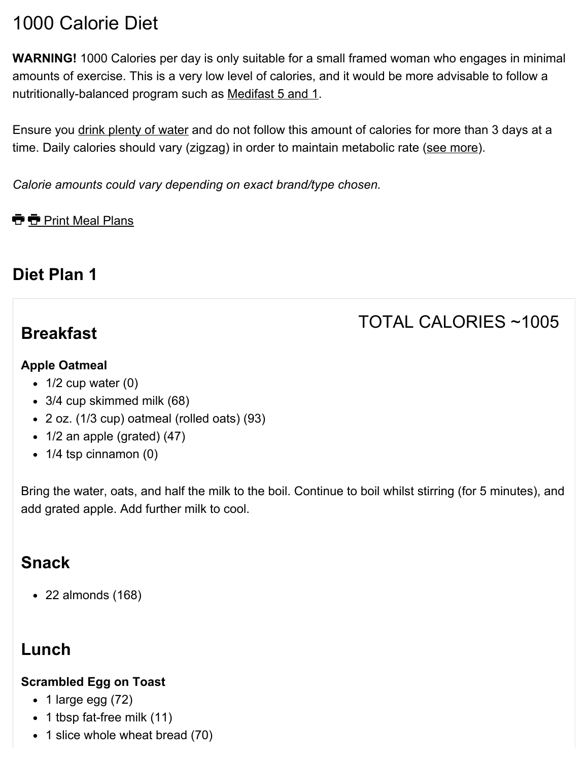# 1000 Calorie Diet

WARNING! 1000 Calories per day is only suitable for a small framed woman who engages in minimal amounts of exercise. This is a very low level of calories, and it would be more advisable to follow a nutritionally-balanced program such as [Medifast](http://www.freedieting.com/medifast.htm) 5 and 1.

Ensure you drink [plenty](http://www.freedieting.com/drinking_water.htm) of water and do not follow this amount of calories for more than 3 days at a time. Daily calories should vary (zigzag) in order to maintain metabolic rate (see [more\)](http://www.freedieting.com/tools/calorie_calculator.htm).

*Calorie amounts could vary depending on exact brand/type chosen.*

**T** Print Meal Plans

### Diet Plan 1

### **Breakfast**

# TOTAL CALORIES ~1005

#### Apple Oatmeal

- $\bullet$  1/2 cup water (0)
- 3/4 cup skimmed milk (68)
- 2 oz. (1/3 cup) oatmeal (rolled oats) (93)
- $\bullet$  1/2 an apple (grated) (47)
- $\bullet$  1/4 tsp cinnamon (0)

Bring the water, oats, and half the milk to the boil. Continue to boil whilst stirring (for 5 minutes), and add grated apple. Add further milk to cool.

### Snack

22 almonds (168)

## Lunch

#### Scrambled Egg on Toast

- $\bullet$  1 large egg (72)
- 1 tbsp fat-free milk (11)
- 1 slice whole wheat bread (70)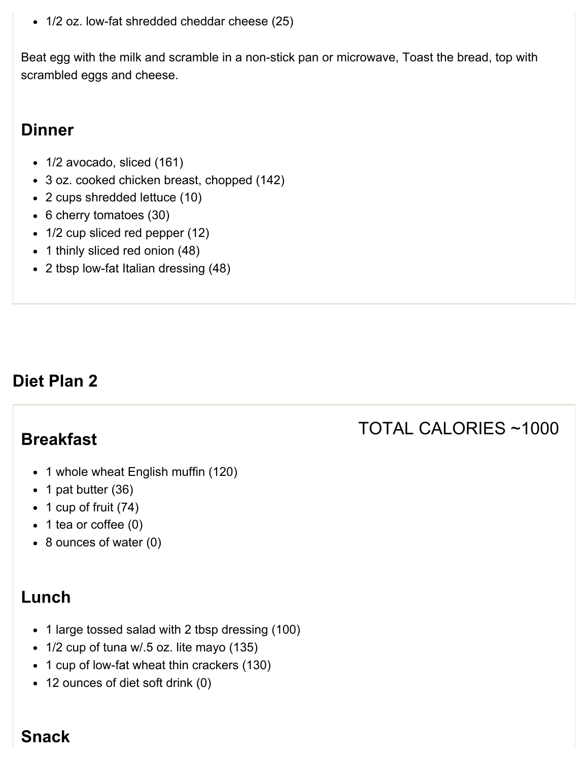1/2 oz. low-fat shredded cheddar cheese (25)

Beat egg with the milk and scramble in a non-stick pan or microwave, Toast the bread, top with scrambled eggs and cheese.

### **Dinner**

- 1/2 avocado, sliced (161)
- 3 oz. cooked chicken breast, chopped (142)
- 2 cups shredded lettuce (10)
- 6 cherry tomatoes (30)
- 1/2 cup sliced red pepper (12)
- 1 thinly sliced red onion (48)
- 2 tbsp low-fat Italian dressing (48)

### Diet Plan 2

### Breakfast

- 1 whole wheat English muffin (120)
- $\bullet$  1 pat butter (36)
- $\bullet$  1 cup of fruit (74)
- $\bullet$  1 tea or coffee (0)
- 8 ounces of water (0)

### Lunch

- 1 large tossed salad with 2 tbsp dressing (100)
- 1/2 cup of tuna w/.5 oz. lite mayo (135)
- 1 cup of low-fat wheat thin crackers (130)
- 12 ounces of diet soft drink (0)

## TOTAL CALORIES ~1000

#### **Snack**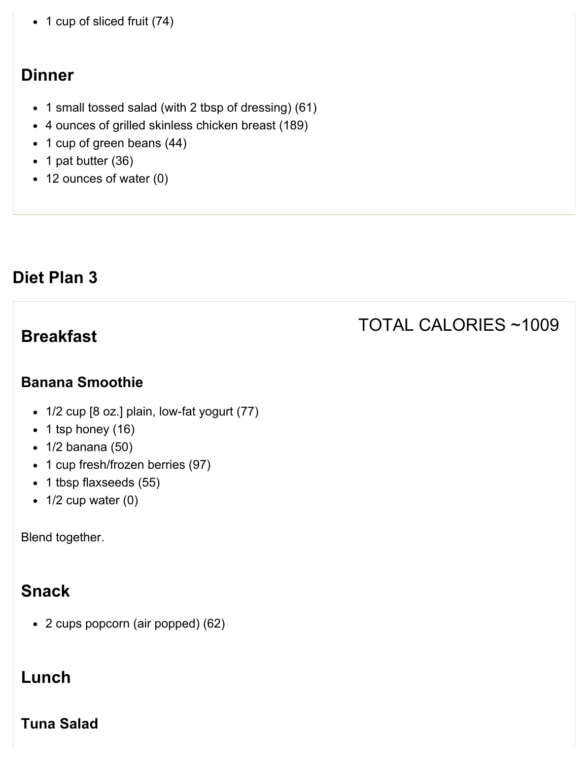• 1 cup of sliced fruit (74)

### **Dinner**

- 1 small tossed salad (with 2 tbsp of dressing) (61)
- 4 ounces of grilled skinless chicken breast (189)
- 1 cup of green beans (44)
- $\bullet$  1 pat butter (36)
- 12 ounces of water (0)

### Diet Plan 3

### **Breakfast**

# TOTAL CALORIES ~1009

#### Banana Smoothie

- 1/2 cup [8 oz.] plain, low-fat yogurt (77)
- $\bullet$  1 tsp honey (16)
- 1/2 banana (50)
- 1 cup fresh/frozen berries (97)
- 1 tbsp flaxseeds (55)
- $\bullet$  1/2 cup water (0)

Blend together.

## Snack

2 cups popcorn (air popped) (62)

## Lunch

Tuna Salad